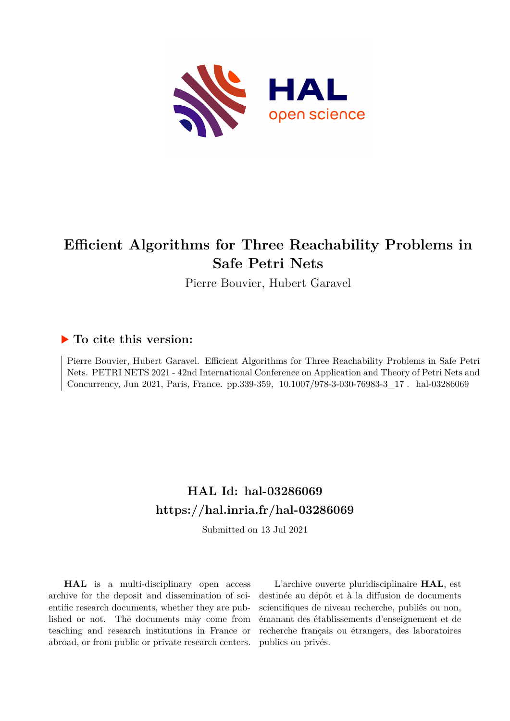

# **Efficient Algorithms for Three Reachability Problems in Safe Petri Nets**

Pierre Bouvier, Hubert Garavel

## **To cite this version:**

Pierre Bouvier, Hubert Garavel. Efficient Algorithms for Three Reachability Problems in Safe Petri Nets. PETRI NETS 2021 - 42nd International Conference on Application and Theory of Petri Nets and Concurrency, Jun 2021, Paris, France. pp.339-359, 10.1007/978-3-030-76983-3\_17. hal-03286069

## **HAL Id: hal-03286069 <https://hal.inria.fr/hal-03286069>**

Submitted on 13 Jul 2021

**HAL** is a multi-disciplinary open access archive for the deposit and dissemination of scientific research documents, whether they are published or not. The documents may come from teaching and research institutions in France or abroad, or from public or private research centers.

L'archive ouverte pluridisciplinaire **HAL**, est destinée au dépôt et à la diffusion de documents scientifiques de niveau recherche, publiés ou non, émanant des établissements d'enseignement et de recherche français ou étrangers, des laboratoires publics ou privés.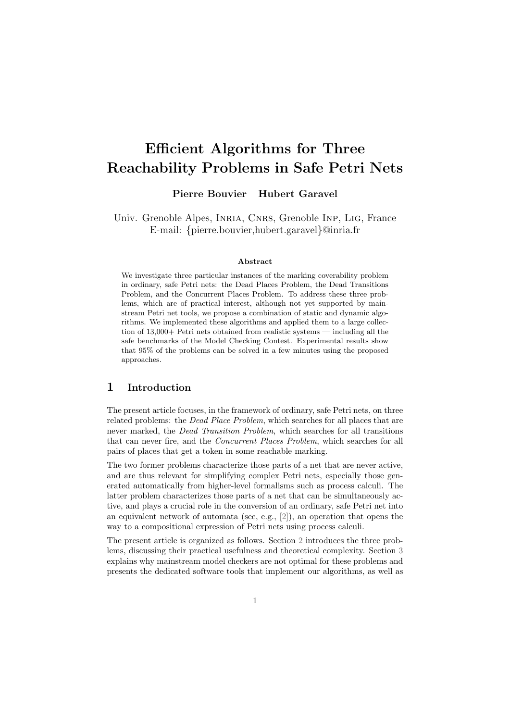## Efficient Algorithms for Three Reachability Problems in Safe Petri Nets

## Pierre Bouvier Hubert Garavel

Univ. Grenoble Alpes, Inria, Cnrs, Grenoble Inp, Lig, France E-mail: {pierre.bouvier,hubert.garavel}@inria.fr

#### Abstract

We investigate three particular instances of the marking coverability problem in ordinary, safe Petri nets: the Dead Places Problem, the Dead Transitions Problem, and the Concurrent Places Problem. To address these three problems, which are of practical interest, although not yet supported by mainstream Petri net tools, we propose a combination of static and dynamic algorithms. We implemented these algorithms and applied them to a large collection of 13,000+ Petri nets obtained from realistic systems — including all the safe benchmarks of the Model Checking Contest. Experimental results show that 95% of the problems can be solved in a few minutes using the proposed approaches.

## 1 Introduction

The present article focuses, in the framework of ordinary, safe Petri nets, on three related problems: the Dead Place Problem, which searches for all places that are never marked, the Dead Transition Problem, which searches for all transitions that can never fire, and the Concurrent Places Problem, which searches for all pairs of places that get a token in some reachable marking.

The two former problems characterize those parts of a net that are never active, and are thus relevant for simplifying complex Petri nets, especially those generated automatically from higher-level formalisms such as process calculi. The latter problem characterizes those parts of a net that can be simultaneously active, and plays a crucial role in the conversion of an ordinary, safe Petri net into an equivalent network of automata (see, e.g., [2]), an operation that opens the way to a compositional expression of Petri nets using process calculi.

The present article is organized as follows. Section 2 introduces the three problems, discussing their practical usefulness and theoretical complexity. Section 3 explains why mainstream model checkers are not optimal for these problems and presents the dedicated software tools that implement our algorithms, as well as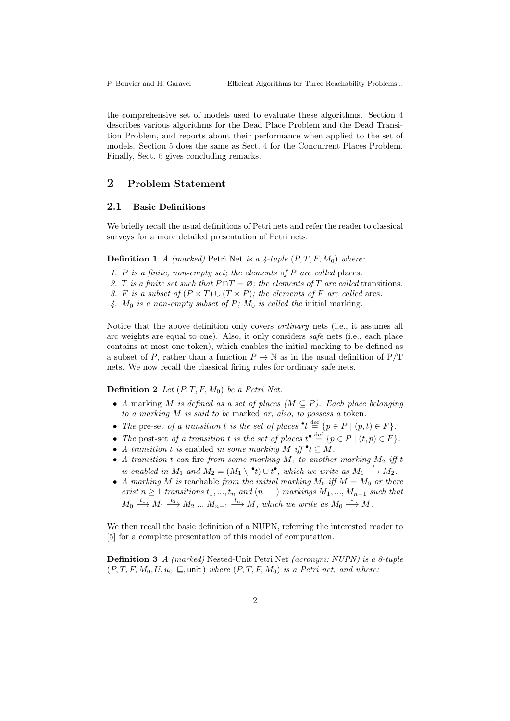the comprehensive set of models used to evaluate these algorithms. Section 4 describes various algorithms for the Dead Place Problem and the Dead Transition Problem, and reports about their performance when applied to the set of models. Section 5 does the same as Sect. 4 for the Concurrent Places Problem. Finally, Sect. 6 gives concluding remarks.

## 2 Problem Statement

### 2.1 Basic Definitions

We briefly recall the usual definitions of Petri nets and refer the reader to classical surveys for a more detailed presentation of Petri nets.

**Definition 1** A (marked) Petri Net is a  $\angle$ -tuple  $(P, T, F, M_0)$  where:

- 1. P is a finite, non-empty set; the elements of  $P$  are called places.
- 2. T is a finite set such that  $P \cap T = \emptyset$ ; the elements of T are called transitions.
- 3. F is a subset of  $(P \times T) \cup (T \times P)$ ; the elements of F are called arcs.
- 4.  $M_0$  is a non-empty subset of P;  $M_0$  is called the initial marking.

Notice that the above definition only covers *ordinary* nets (i.e., it assumes all arc weights are equal to one). Also, it only considers safe nets (i.e., each place contains at most one token), which enables the initial marking to be defined as a subset of P, rather than a function  $P \to \mathbb{N}$  as in the usual definition of P/T nets. We now recall the classical firing rules for ordinary safe nets.

**Definition 2** Let  $(P, T, F, M_0)$  be a Petri Net.

- A marking M is defined as a set of places  $(M \subseteq P)$ . Each place belonging to a marking M is said to be marked or, also, to possess a token.
- The pre-set of a transition t is the set of places  $\bullet t \stackrel{\text{def}}{=} \{p \in P \mid (p, t) \in F\}.$
- The post-set of a transition t is the set of places  $t^{\bullet} \stackrel{\text{def}}{=} \{p \in P \mid (t, p) \in F\}.$
- A transition t is enabled in some marking M iff  $\mathbf{t} \subseteq M$ .
- A transition t can fire from some marking  $M_1$  to another marking  $M_2$  iff t is enabled in  $M_1$  and  $M_2 = (M_1 \setminus \bullet_t) \cup t^{\bullet}$ , which we write as  $M_1 \stackrel{t}{\longrightarrow} M_2$ .
- A marking M is reachable from the initial marking  $M_0$  iff  $M = M_0$  or there exist  $n \geq 1$  transitions  $t_1, ..., t_n$  and  $(n-1)$  markings  $M_1, ..., M_{n-1}$  such that  $M_0 \xrightarrow{t_1} M_1 \xrightarrow{t_2} M_2 \dots M_{n-1} \xrightarrow{t_n} M$ , which we write as  $M_0 \xrightarrow{*} M$ .

We then recall the basic definition of a NUPN, referring the interested reader to [5] for a complete presentation of this model of computation.

Definition 3 A (marked) Nested-Unit Petri Net (acronym: NUPN) is a 8-tuple  $(P, T, F, M_0, U, u_0, \square, \text{unit})$  where  $(P, T, F, M_0)$  is a Petri net, and where: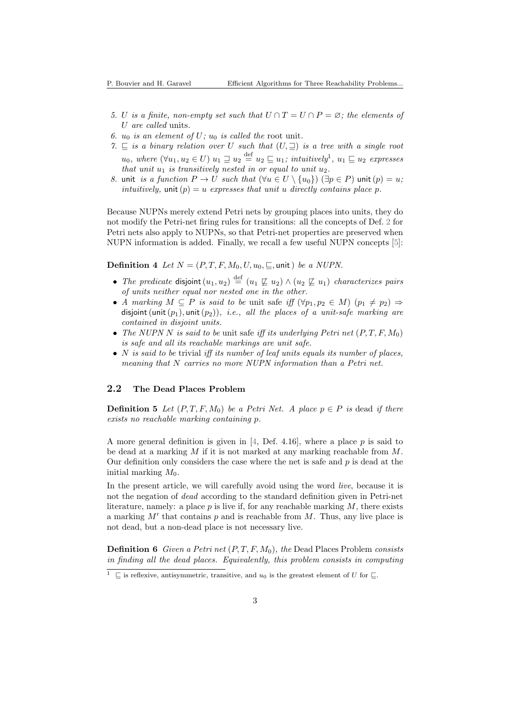- 5. U is a finite, non-empty set such that  $U \cap T = U \cap P = \emptyset$ ; the elements of U are called units.
- 6.  $u_0$  is an element of U;  $u_0$  is called the root unit.
- 7.  $\subseteq$  is a binary relation over U such that  $(U, \sqsupseteq)$  is a tree with a single root  $u_0$ , where  $(\forall u_1, u_2 \in U)$   $u_1 \supseteq u_2 \stackrel{\text{def}}{=} u_2 \sqsubseteq u_1$ ; intuitively<sup>1</sup>,  $u_1 \sqsubseteq u_2$  expresses that unit  $u_1$  is transitively nested in or equal to unit  $u_2$ .
- 8. unit is a function  $P \to U$  such that  $(\forall u \in U \setminus \{u_0\}) (\exists p \in P)$  unit  $(p) = u$ ; intuitively, unit  $(p) = u$  expresses that unit u directly contains place p.

Because NUPNs merely extend Petri nets by grouping places into units, they do not modify the Petri-net firing rules for transitions: all the concepts of Def. 2 for Petri nets also apply to NUPNs, so that Petri-net properties are preserved when NUPN information is added. Finally, we recall a few useful NUPN concepts [5]:

**Definition 4** Let  $N = (P, T, F, M_0, U, u_0, \subseteq, \text{unit})$  be a NUPN.

- The predicate disjoint  $(u_1, u_2) \stackrel{\text{def}}{=} (u_1 \not\sqsubseteq u_2) \wedge (u_2 \not\sqsubseteq u_1)$  characterizes pairs of units neither equal nor nested one in the other.
- A marking  $M \subseteq P$  is said to be unit safe iff  $(\forall p_1, p_2 \in M)$   $(p_1 \neq p_2) \Rightarrow$ disjoint (unit  $(p_1)$ , unit  $(p_2)$ ), *i.e.*, all the places of a unit-safe marking are contained in disjoint units.
- The NUPN N is said to be unit safe iff its underlying Petri net  $(P, T, F, M_0)$ is safe and all its reachable markings are unit safe.
- $N$  is said to be trivial iff its number of leaf units equals its number of places. meaning that N carries no more NUPN information than a Petri net.

## 2.2 The Dead Places Problem

**Definition 5** Let  $(P, T, F, M_0)$  be a Petri Net. A place  $p \in P$  is dead if there exists no reachable marking containing p.

A more general definition is given in [4, Def. 4.16], where a place  $p$  is said to be dead at a marking M if it is not marked at any marking reachable from  $M$ . Our definition only considers the case where the net is safe and  $p$  is dead at the initial marking  $M_0$ .

In the present article, we will carefully avoid using the word *live*, because it is not the negation of *dead* according to the standard definition given in Petri-net literature, namely: a place  $p$  is live if, for any reachable marking  $M$ , there exists a marking  $M'$  that contains p and is reachable from  $M$ . Thus, any live place is not dead, but a non-dead place is not necessary live.

**Definition 6** Given a Petri net  $(P, T, F, M_0)$ , the Dead Places Problem consists in finding all the dead places. Equivalently, this problem consists in computing

<sup>&</sup>lt;sup>1</sup>  $\sqsubseteq$  is reflexive, antisymmetric, transitive, and  $u_0$  is the greatest element of U for  $\sqsubseteq$ .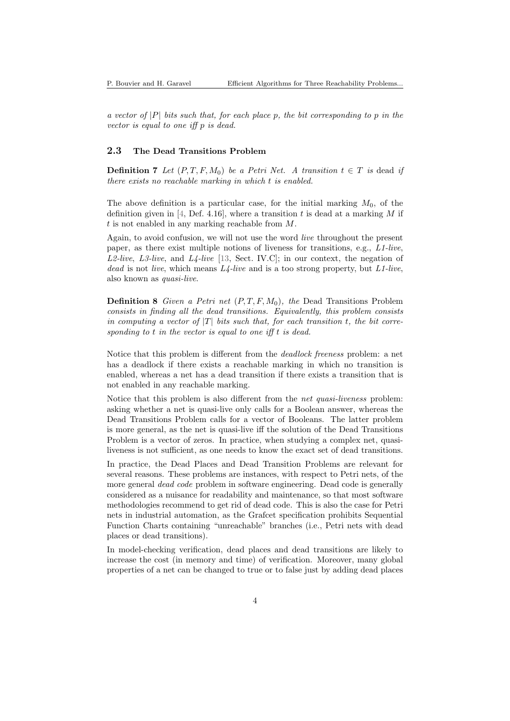a vector of  $|P|$  bits such that, for each place p, the bit corresponding to p in the vector is equal to one iff p is dead.

#### 2.3 The Dead Transitions Problem

**Definition 7** Let  $(P, T, F, M_0)$  be a Petri Net. A transition  $t \in T$  is dead if there exists no reachable marking in which t is enabled.

The above definition is a particular case, for the initial marking  $M_0$ , of the definition given in [4, Def. 4.16], where a transition t is dead at a marking M if t is not enabled in any marking reachable from  $M$ .

Again, to avoid confusion, we will not use the word live throughout the present paper, as there exist multiple notions of liveness for transitions, e.g., L1-live,  $L2$ -live,  $L3$ -live, and  $L4$ -live [13, Sect. IV.C]; in our context, the negation of dead is not live, which means  $L<sub>4</sub>$ -live and is a too strong property, but  $L<sub>1</sub>$ -live, also known as quasi-live.

**Definition 8** Given a Petri net  $(P, T, F, M_0)$ , the Dead Transitions Problem consists in finding all the dead transitions. Equivalently, this problem consists in computing a vector of  $|T|$  bits such that, for each transition t, the bit corresponding to t in the vector is equal to one iff t is dead.

Notice that this problem is different from the *deadlock freeness* problem: a net has a deadlock if there exists a reachable marking in which no transition is enabled, whereas a net has a dead transition if there exists a transition that is not enabled in any reachable marking.

Notice that this problem is also different from the net quasi-liveness problem: asking whether a net is quasi-live only calls for a Boolean answer, whereas the Dead Transitions Problem calls for a vector of Booleans. The latter problem is more general, as the net is quasi-live iff the solution of the Dead Transitions Problem is a vector of zeros. In practice, when studying a complex net, quasiliveness is not sufficient, as one needs to know the exact set of dead transitions.

In practice, the Dead Places and Dead Transition Problems are relevant for several reasons. These problems are instances, with respect to Petri nets, of the more general *dead code* problem in software engineering. Dead code is generally considered as a nuisance for readability and maintenance, so that most software methodologies recommend to get rid of dead code. This is also the case for Petri nets in industrial automation, as the Grafcet specification prohibits Sequential Function Charts containing "unreachable" branches (i.e., Petri nets with dead places or dead transitions).

In model-checking verification, dead places and dead transitions are likely to increase the cost (in memory and time) of verification. Moreover, many global properties of a net can be changed to true or to false just by adding dead places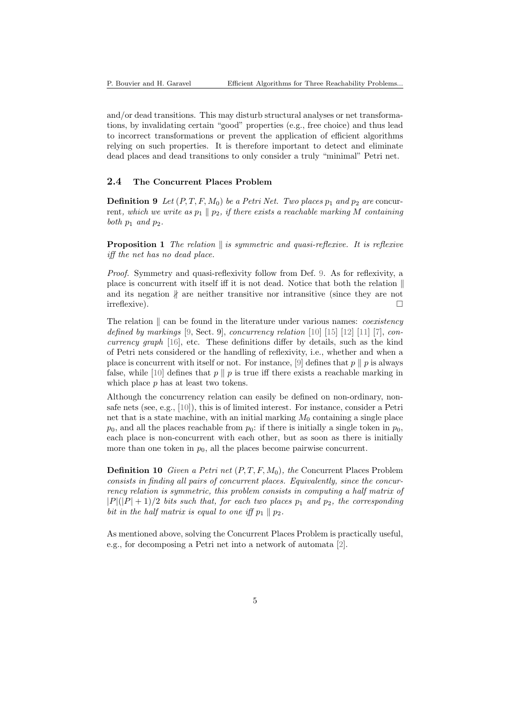and/or dead transitions. This may disturb structural analyses or net transformations, by invalidating certain "good" properties (e.g., free choice) and thus lead to incorrect transformations or prevent the application of efficient algorithms relying on such properties. It is therefore important to detect and eliminate dead places and dead transitions to only consider a truly "minimal" Petri net.

## 2.4 The Concurrent Places Problem

**Definition 9** Let  $(P, T, F, M_0)$  be a Petri Net. Two places  $p_1$  and  $p_2$  are concurrent, which we write as  $p_1 \parallel p_2$ , if there exists a reachable marking M containing both  $p_1$  and  $p_2$ .

**Proposition 1** The relation  $\parallel$  is symmetric and quasi-reflexive. It is reflexive iff the net has no dead place.

Proof. Symmetry and quasi-reflexivity follow from Def. 9. As for reflexivity, a place is concurrent with itself iff it is not dead. Notice that both the relation  $\parallel$ and its negation ∦ are neither transitive nor intransitive (since they are not irreflexive).

The relation  $\parallel$  can be found in the literature under various names: *coexistency* defined by markings  $[9, \text{ Sect. } 9]$ , concurrency relation  $[10]$   $[15]$   $[12]$   $[11]$   $[7]$ , concurrency graph [16], etc. These definitions differ by details, such as the kind of Petri nets considered or the handling of reflexivity, i.e., whether and when a place is concurrent with itself or not. For instance, [9] defines that  $p \parallel p$  is always false, while [10] defines that  $p \parallel p$  is true iff there exists a reachable marking in which place  $p$  has at least two tokens.

Although the concurrency relation can easily be defined on non-ordinary, nonsafe nets (see, e.g., [10]), this is of limited interest. For instance, consider a Petri net that is a state machine, with an initial marking  $M_0$  containing a single place  $p_0$ , and all the places reachable from  $p_0$ : if there is initially a single token in  $p_0$ , each place is non-concurrent with each other, but as soon as there is initially more than one token in  $p_0$ , all the places become pairwise concurrent.

**Definition 10** Given a Petri net  $(P, T, F, M_0)$ , the Concurrent Places Problem consists in finding all pairs of concurrent places. Equivalently, since the concurrency relation is symmetric, this problem consists in computing a half matrix of  $|P|(|P|+1)/2$  bits such that, for each two places  $p_1$  and  $p_2$ , the corresponding bit in the half matrix is equal to one iff  $p_1 \parallel p_2$ .

As mentioned above, solving the Concurrent Places Problem is practically useful, e.g., for decomposing a Petri net into a network of automata [2].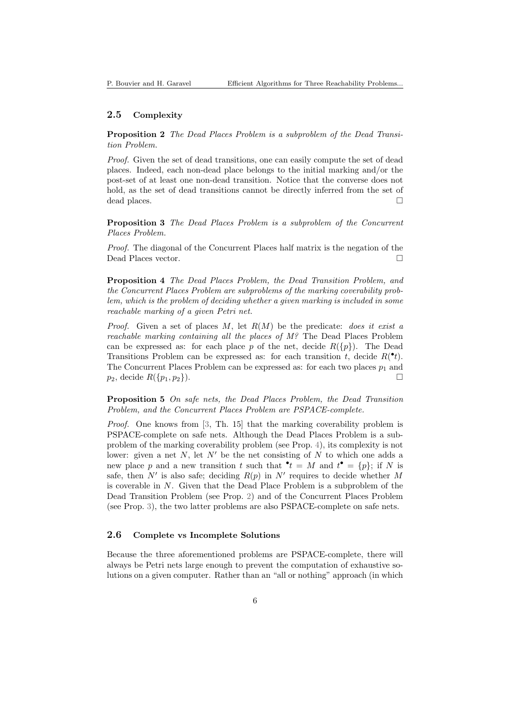#### 2.5 Complexity

Proposition 2 The Dead Places Problem is a subproblem of the Dead Transition Problem.

Proof. Given the set of dead transitions, one can easily compute the set of dead places. Indeed, each non-dead place belongs to the initial marking and/or the post-set of at least one non-dead transition. Notice that the converse does not hold, as the set of dead transitions cannot be directly inferred from the set of dead places.

Proposition 3 The Dead Places Problem is a subproblem of the Concurrent Places Problem.

Proof. The diagonal of the Concurrent Places half matrix is the negation of the Dead Places vector.

Proposition 4 The Dead Places Problem, the Dead Transition Problem, and the Concurrent Places Problem are subproblems of the marking coverability problem, which is the problem of deciding whether a given marking is included in some reachable marking of a given Petri net.

*Proof.* Given a set of places M, let  $R(M)$  be the predicate: *does it exist a* reachable marking containing all the places of M? The Dead Places Problem can be expressed as: for each place p of the net, decide  $R(\{p\})$ . The Dead Transitions Problem can be expressed as: for each transition t, decide  $R({^{\bullet}t})$ . The Concurrent Places Problem can be expressed as: for each two places  $p_1$  and  $p_2$ , decide  $R({p_1, p_2})$ .

Proposition 5 On safe nets, the Dead Places Problem, the Dead Transition Problem, and the Concurrent Places Problem are PSPACE-complete.

Proof. One knows from [3, Th. 15] that the marking coverability problem is PSPACE-complete on safe nets. Although the Dead Places Problem is a subproblem of the marking coverability problem (see Prop. 4), its complexity is not lower: given a net N, let  $N'$  be the net consisting of N to which one adds a new place p and a new transition t such that  $\mathbf{t} = M$  and  $\mathbf{t} = \{p\}$ ; if N is safe, then N' is also safe; deciding  $R(p)$  in N' requires to decide whether M is coverable in N. Given that the Dead Place Problem is a subproblem of the Dead Transition Problem (see Prop. 2) and of the Concurrent Places Problem (see Prop. 3), the two latter problems are also PSPACE-complete on safe nets.

### 2.6 Complete vs Incomplete Solutions

Because the three aforementioned problems are PSPACE-complete, there will always be Petri nets large enough to prevent the computation of exhaustive solutions on a given computer. Rather than an "all or nothing" approach (in which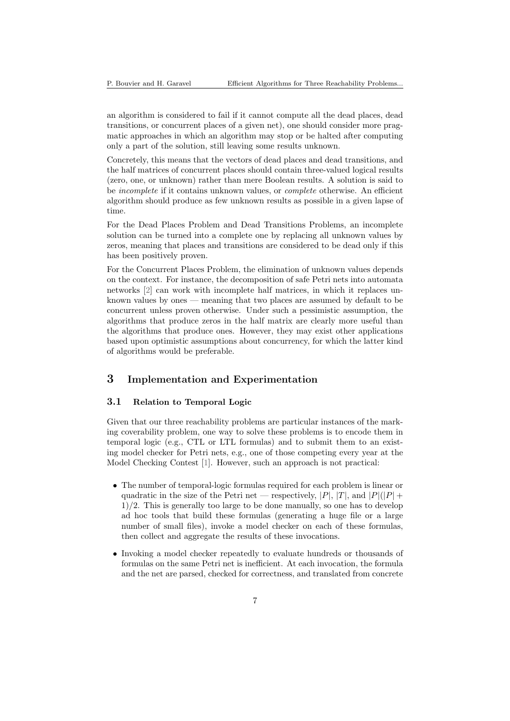an algorithm is considered to fail if it cannot compute all the dead places, dead transitions, or concurrent places of a given net), one should consider more pragmatic approaches in which an algorithm may stop or be halted after computing only a part of the solution, still leaving some results unknown.

Concretely, this means that the vectors of dead places and dead transitions, and the half matrices of concurrent places should contain three-valued logical results (zero, one, or unknown) rather than mere Boolean results. A solution is said to be *incomplete* if it contains unknown values, or *complete* otherwise. An efficient algorithm should produce as few unknown results as possible in a given lapse of time.

For the Dead Places Problem and Dead Transitions Problems, an incomplete solution can be turned into a complete one by replacing all unknown values by zeros, meaning that places and transitions are considered to be dead only if this has been positively proven.

For the Concurrent Places Problem, the elimination of unknown values depends on the context. For instance, the decomposition of safe Petri nets into automata networks [2] can work with incomplete half matrices, in which it replaces unknown values by ones — meaning that two places are assumed by default to be concurrent unless proven otherwise. Under such a pessimistic assumption, the algorithms that produce zeros in the half matrix are clearly more useful than the algorithms that produce ones. However, they may exist other applications based upon optimistic assumptions about concurrency, for which the latter kind of algorithms would be preferable.

## 3 Implementation and Experimentation

#### 3.1 Relation to Temporal Logic

Given that our three reachability problems are particular instances of the marking coverability problem, one way to solve these problems is to encode them in temporal logic (e.g., CTL or LTL formulas) and to submit them to an existing model checker for Petri nets, e.g., one of those competing every year at the Model Checking Contest [1]. However, such an approach is not practical:

- The number of temporal-logic formulas required for each problem is linear or quadratic in the size of the Petri net — respectively,  $|P|$ ,  $|T|$ , and  $|P|(|P| +$  $1/2$ . This is generally too large to be done manually, so one has to develop ad hoc tools that build these formulas (generating a huge file or a large number of small files), invoke a model checker on each of these formulas, then collect and aggregate the results of these invocations.
- Invoking a model checker repeatedly to evaluate hundreds or thousands of formulas on the same Petri net is inefficient. At each invocation, the formula and the net are parsed, checked for correctness, and translated from concrete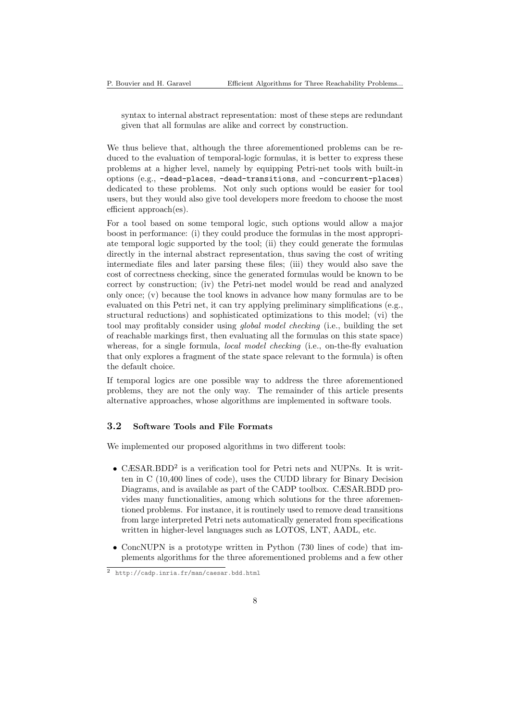syntax to internal abstract representation: most of these steps are redundant given that all formulas are alike and correct by construction.

We thus believe that, although the three aforementioned problems can be reduced to the evaluation of temporal-logic formulas, it is better to express these problems at a higher level, namely by equipping Petri-net tools with built-in options (e.g., -dead-places, -dead-transitions, and -concurrent-places) dedicated to these problems. Not only such options would be easier for tool users, but they would also give tool developers more freedom to choose the most efficient approach(es).

For a tool based on some temporal logic, such options would allow a major boost in performance: (i) they could produce the formulas in the most appropriate temporal logic supported by the tool; (ii) they could generate the formulas directly in the internal abstract representation, thus saving the cost of writing intermediate files and later parsing these files; (iii) they would also save the cost of correctness checking, since the generated formulas would be known to be correct by construction; (iv) the Petri-net model would be read and analyzed only once; (v) because the tool knows in advance how many formulas are to be evaluated on this Petri net, it can try applying preliminary simplifications (e.g., structural reductions) and sophisticated optimizations to this model; (vi) the tool may profitably consider using global model checking (i.e., building the set of reachable markings first, then evaluating all the formulas on this state space) whereas, for a single formula, *local model checking* (i.e., on-the-fly evaluation that only explores a fragment of the state space relevant to the formula) is often the default choice.

If temporal logics are one possible way to address the three aforementioned problems, they are not the only way. The remainder of this article presents alternative approaches, whose algorithms are implemented in software tools.

## 3.2 Software Tools and File Formats

We implemented our proposed algorithms in two different tools:

- $\bullet$  CÆSAR.BDD<sup>2</sup> is a verification tool for Petri nets and NUPNs. It is written in C (10,400 lines of code), uses the CUDD library for Binary Decision Diagrams, and is available as part of the CADP toolbox. CÆSAR.BDD provides many functionalities, among which solutions for the three aforementioned problems. For instance, it is routinely used to remove dead transitions from large interpreted Petri nets automatically generated from specifications written in higher-level languages such as LOTOS, LNT, AADL, etc.
- ConcNUPN is a prototype written in Python (730 lines of code) that implements algorithms for the three aforementioned problems and a few other

<sup>2</sup> <http://cadp.inria.fr/man/caesar.bdd.html>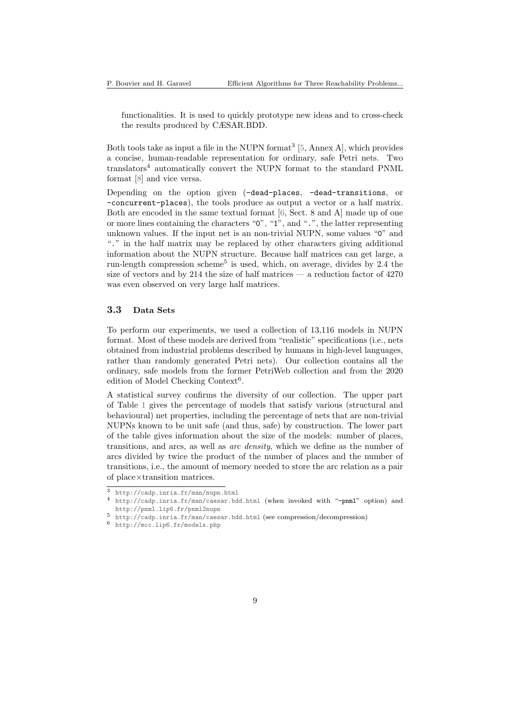functionalities. It is used to quickly prototype new ideas and to cross-check the results produced by CÆSAR.BDD.

Both tools take as input a file in the NUPN format<sup>3</sup> [5, Annex A], which provides a concise, human-readable representation for ordinary, safe Petri nets. Two translators<sup>4</sup> automatically convert the NUPN format to the standard PNML format [8] and vice versa.

Depending on the option given (-dead-places, -dead-transitions, or -concurrent-places), the tools produce as output a vector or a half matrix. Both are encoded in the same textual format [6, Sect. 8 and A] made up of one or more lines containing the characters "0", "1", and ".", the latter representing unknown values. If the input net is an non-trivial NUPN, some values "0" and "." in the half matrix may be replaced by other characters giving additional information about the NUPN structure. Because half matrices can get large, a run-length compression scheme<sup>5</sup> is used, which, on average, divides by 2.4 the size of vectors and by 214 the size of half matrices — a reduction factor of  $4270$ was even observed on very large half matrices.

## 3.3 Data Sets

To perform our experiments, we used a collection of 13,116 models in NUPN format. Most of these models are derived from "realistic" specifications (i.e., nets obtained from industrial problems described by humans in high-level languages, rather than randomly generated Petri nets). Our collection contains all the ordinary, safe models from the former PetriWeb collection and from the 2020 edition of Model Checking Context<sup>6</sup>.

A statistical survey confirms the diversity of our collection. The upper part of Table 1 gives the percentage of models that satisfy various (structural and behavioural) net properties, including the percentage of nets that are non-trivial NUPNs known to be unit safe (and thus, safe) by construction. The lower part of the table gives information about the size of the models: number of places, transitions, and arcs, as well as arc density, which we define as the number of arcs divided by twice the product of the number of places and the number of transitions, i.e., the amount of memory needed to store the arc relation as a pair of place×transition matrices.

<sup>3</sup> <http://cadp.inria.fr/man/nupn.html>

<sup>4</sup> <http://cadp.inria.fr/man/caesar.bdd.html> (when invoked with "-pnml" option) and <http://pnml.lip6.fr/pnml2nupn>

<sup>5</sup> <http://cadp.inria.fr/man/caesar.bdd.html> (see compression/decompression)

<sup>6</sup> <http://mcc.lip6.fr/models.php>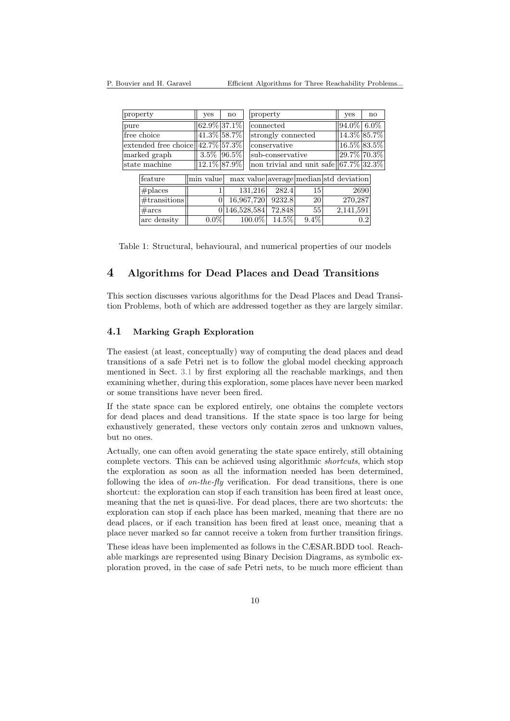| property        | yes                                   | no          | property    |                                            | yes             | $\mathbf{n}\mathbf{o}$ |             |     |
|-----------------|---------------------------------------|-------------|-------------|--------------------------------------------|-----------------|------------------------|-------------|-----|
| pure            |                                       | 62.9% 37.1% |             | connected                                  | 94.0%           | $6.0\%$                |             |     |
| free choice     | 41.3% 38.7%                           |             |             | strongly connected                         |                 |                        | 14.3% 85.7% |     |
|                 | 42.7% 57.3%<br>extended free choicell |             |             | conservative                               | 16.5% 83.5%     |                        |             |     |
| marked graph    | $3.5\%$                               | $ 96.5\% $  |             | sub-conservative                           |                 | 29.7% 70.3%            |             |     |
| state machine   |                                       | 12.1% 87.9% |             | non trivial and unit safe $ 67.7\% 32.3\%$ |                 |                        |             |     |
| feature         | min value                             |             |             | max value average median std deviation     |                 |                        |             |     |
| $#$ places      |                                       |             | 131,216     | 282.4                                      | 15 <sup>1</sup> |                        | 2690        |     |
| #transitions    |                                       |             | 16,967,720  | 9232.8                                     | 20              |                        | 270,287     |     |
| $\#\text{arcs}$ |                                       |             | 146,528,584 | 72,848                                     | 55              |                        | 2,141,591   |     |
| arc density     | $0.0\%$                               |             | $100.0\%$   | 14.5%                                      | $9.4\%$         |                        |             | 0.2 |

Table 1: Structural, behavioural, and numerical properties of our models

## 4 Algorithms for Dead Places and Dead Transitions

This section discusses various algorithms for the Dead Places and Dead Transition Problems, both of which are addressed together as they are largely similar.

## 4.1 Marking Graph Exploration

The easiest (at least, conceptually) way of computing the dead places and dead transitions of a safe Petri net is to follow the global model checking approach mentioned in Sect. 3.1 by first exploring all the reachable markings, and then examining whether, during this exploration, some places have never been marked or some transitions have never been fired.

If the state space can be explored entirely, one obtains the complete vectors for dead places and dead transitions. If the state space is too large for being exhaustively generated, these vectors only contain zeros and unknown values, but no ones.

Actually, one can often avoid generating the state space entirely, still obtaining complete vectors. This can be achieved using algorithmic shortcuts, which stop the exploration as soon as all the information needed has been determined, following the idea of  $on$ -the-fly verification. For dead transitions, there is one shortcut: the exploration can stop if each transition has been fired at least once, meaning that the net is quasi-live. For dead places, there are two shortcuts: the exploration can stop if each place has been marked, meaning that there are no dead places, or if each transition has been fired at least once, meaning that a place never marked so far cannot receive a token from further transition firings.

These ideas have been implemented as follows in the CÆSAR.BDD tool. Reachable markings are represented using Binary Decision Diagrams, as symbolic exploration proved, in the case of safe Petri nets, to be much more efficient than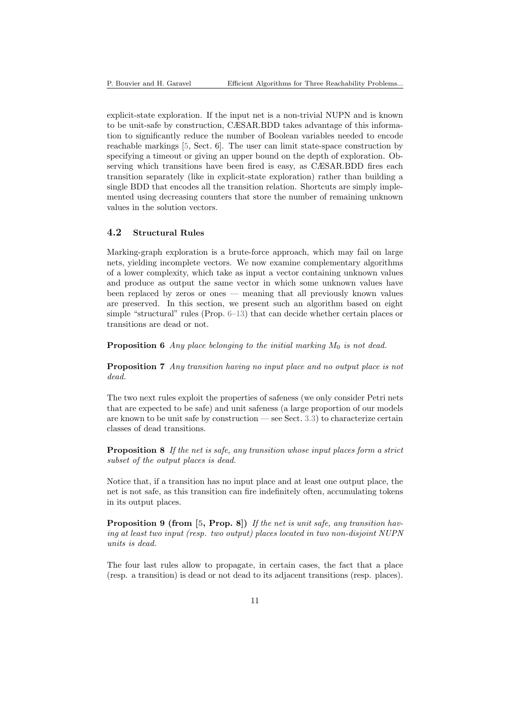explicit-state exploration. If the input net is a non-trivial NUPN and is known to be unit-safe by construction, CÆSAR.BDD takes advantage of this information to significantly reduce the number of Boolean variables needed to encode reachable markings [5, Sect. 6]. The user can limit state-space construction by specifying a timeout or giving an upper bound on the depth of exploration. Observing which transitions have been fired is easy, as CÆSAR.BDD fires each transition separately (like in explicit-state exploration) rather than building a single BDD that encodes all the transition relation. Shortcuts are simply implemented using decreasing counters that store the number of remaining unknown values in the solution vectors.

## 4.2 Structural Rules

Marking-graph exploration is a brute-force approach, which may fail on large nets, yielding incomplete vectors. We now examine complementary algorithms of a lower complexity, which take as input a vector containing unknown values and produce as output the same vector in which some unknown values have been replaced by zeros or ones — meaning that all previously known values are preserved. In this section, we present such an algorithm based on eight simple "structural" rules (Prop. 6–13) that can decide whether certain places or transitions are dead or not.

**Proposition 6** Any place belonging to the initial marking  $M_0$  is not dead.

Proposition 7 Any transition having no input place and no output place is not dead.

The two next rules exploit the properties of safeness (we only consider Petri nets that are expected to be safe) and unit safeness (a large proportion of our models are known to be unit safe by construction — see Sect. 3.3) to characterize certain classes of dead transitions.

Proposition 8 If the net is safe, any transition whose input places form a strict subset of the output places is dead.

Notice that, if a transition has no input place and at least one output place, the net is not safe, as this transition can fire indefinitely often, accumulating tokens in its output places.

**Proposition 9 (from [5, Prop. 8])** If the net is unit safe, any transition having at least two input (resp. two output) places located in two non-disjoint NUPN units is dead.

The four last rules allow to propagate, in certain cases, the fact that a place (resp. a transition) is dead or not dead to its adjacent transitions (resp. places).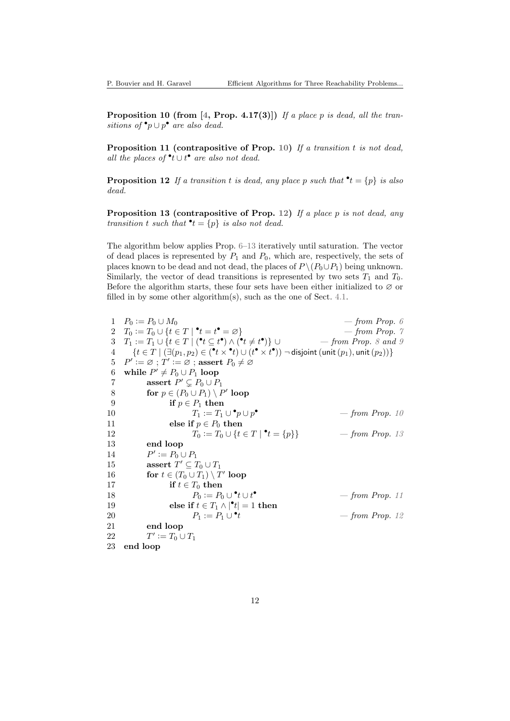**Proposition 10 (from [4, Prop. 4.17(3)])** If a place p is dead, all the transitions of  $\mathbf{P} \cup p^{\bullet}$  are also dead.

**Proposition 11 (contrapositive of Prop.** 10) If a transition  $t$  is not dead, all the places of  $\bullet t \cup t$  are also not dead.

**Proposition 12** If a transition t is dead, any place p such that  $^{\bullet}t = \{p\}$  is also dead.

**Proposition 13 (contrapositive of Prop.** 12) If a place p is not dead, any transition t such that  $\mathbf{t} = \{p\}$  is also not dead.

The algorithm below applies Prop. 6–13 iteratively until saturation. The vector of dead places is represented by  $P_1$  and  $P_0$ , which are, respectively, the sets of places known to be dead and not dead, the places of  $P \setminus (P_0 \cup P_1)$  being unknown. Similarly, the vector of dead transitions is represented by two sets  $T_1$  and  $T_0$ . Before the algorithm starts, these four sets have been either initialized to  $\varnothing$  or filled in by some other algorithm(s), such as the one of Sect.  $4.1$ .

|                | 1 $P_0 := P_0 \cup M_0$                                                                                                                                                                       | $-$ from Prop. 6        |
|----------------|-----------------------------------------------------------------------------------------------------------------------------------------------------------------------------------------------|-------------------------|
|                | 2 $T_0 := T_0 \cup \{t \in T \mid \mathbf{P}t = t^{\bullet} = \varnothing\}$                                                                                                                  | $-$ from Prop. $\gamma$ |
|                | 3 $T_1 := T_1 \cup \{t \in T \mid (\mathbf{^e} t \subseteq t^{\bullet}) \wedge (\mathbf{^e} t \neq t^{\bullet})\} \cup$                                                                       | $-$ from Prop. 8 and 9  |
| $\overline{4}$ | $\{t \in T \mid (\exists (p_1, p_2) \in (\mathbf{^{\bullet}} t \times \mathbf{^{\bullet}} t) \cup (t^{\bullet} \times t^{\bullet})) \neg \text{disjoint (unit } (p_1), \text{unit } (p_2))\}$ |                         |
| $5^{\circ}$    | $P' := \varnothing$ ; $T' := \varnothing$ ; assert $P_0 \neq \varnothing$                                                                                                                     |                         |
| 6              | while $P' \neq P_0 \cup P_1$ loop                                                                                                                                                             |                         |
| $\overline{7}$ | assert $P' \subseteq P_0 \cup P_1$                                                                                                                                                            |                         |
| 8              | for $p \in (P_0 \cup P_1) \setminus P'$ loop                                                                                                                                                  |                         |
| 9              | if $p \in P_1$ then                                                                                                                                                                           |                         |
| 10             | $T_1 := T_1 \cup {}^{\bullet}p \cup p^{\bullet}$                                                                                                                                              | — from Prop. $10$       |
| 11             | else if $p \in P_0$ then                                                                                                                                                                      |                         |
| 12             | $T_0 := T_0 \cup \{ t \in T \mid \mathbf{t} = \{ p \} \}$                                                                                                                                     | $-$ from Prop. 13       |
| 13             | end loop                                                                                                                                                                                      |                         |
| 14             | $P' := P_0 \cup P_1$                                                                                                                                                                          |                         |
| 15             | assert $T' \subseteq T_0 \cup T_1$                                                                                                                                                            |                         |
| 16             | for $t \in (T_0 \cup T_1) \setminus T'$ loop                                                                                                                                                  |                         |
| 17             | if $t \in T_0$ then                                                                                                                                                                           |                         |
| 18             | $P_0 := P_0 \cup {}^{\bullet}t \cup t^{\bullet}$                                                                                                                                              | $-$ from Prop. 11       |
| 19             | else if $t \in T_1 \wedge  \mathbf{f}  = 1$ then                                                                                                                                              |                         |
| 20             | $P_1 := P_1 \cup \mathbf{^e}t$                                                                                                                                                                | $-$ from Prop. 12       |
| 21             | end loop                                                                                                                                                                                      |                         |
| 22             | $T' \coloneqq T_0 \cup T_1$                                                                                                                                                                   |                         |
| 23             | end loop                                                                                                                                                                                      |                         |
|                |                                                                                                                                                                                               |                         |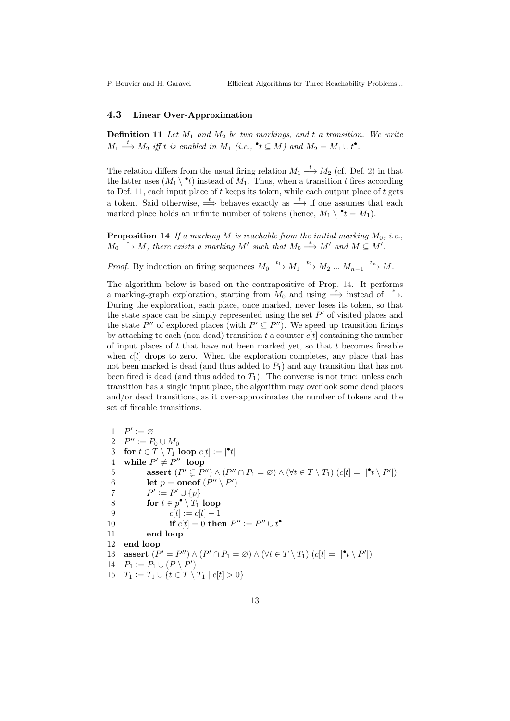#### 4.3 Linear Over-Approximation

**Definition 11** Let  $M_1$  and  $M_2$  be two markings, and t a transition. We write  $M_1 \stackrel{t}{\Longrightarrow} M_2$  iff t is enabled in  $M_1$  (i.e.,  $\mathbf{P} \subseteq M$ ) and  $M_2 = M_1 \cup t^{\bullet}$ .

The relation differs from the usual firing relation  $M_1 \stackrel{t}{\longrightarrow} M_2$  (cf. Def. 2) in that the latter uses  $(M_1 \setminus \bullet t)$  instead of  $M_1$ . Thus, when a transition t fires according to Def. 11, each input place of  $t$  keeps its token, while each output place of  $t$  gets a token. Said otherwise,  $\Rightarrow$  behaves exactly as  $\stackrel{t}{\longrightarrow}$  if one assumes that each marked place holds an infinite number of tokens (hence,  $M_1 \setminus \bullet_t = M_1$ ).

**Proposition 14** If a marking M is reachable from the initial marking  $M_0$ , i.e.,  $M_0 \stackrel{*}{\longrightarrow} M$ , there exists a marking M' such that  $M_0 \stackrel{*}{\Longrightarrow} M'$  and  $M \stackrel{\sim}{\subseteq} M'$ .

*Proof.* By induction on firing sequences  $M_0 \xrightarrow{t_1} M_1 \xrightarrow{t_2} M_2 \dots M_{n-1} \xrightarrow{t_n} M$ .

The algorithm below is based on the contrapositive of Prop. 14. It performs a marking-graph exploration, starting from  $M_0$  and using  $\Rightarrow$  instead of  $\stackrel{*}{\longrightarrow}$ . During the exploration, each place, once marked, never loses its token, so that the state space can be simply represented using the set  $P'$  of visited places and the state P'' of explored places (with  $P' \subseteq P''$ ). We speed up transition firings by attaching to each (non-dead) transition t a counter  $c[t]$  containing the number of input places of  $t$  that have not been marked yet, so that  $t$  becomes fireable when  $c[t]$  drops to zero. When the exploration completes, any place that has not been marked is dead (and thus added to  $P_1$ ) and any transition that has not been fired is dead (and thus added to  $T_1$ ). The converse is not true: unless each transition has a single input place, the algorithm may overlook some dead places and/or dead transitions, as it over-approximates the number of tokens and the set of fireable transitions.

1  $P' := \varnothing$ 2  $P'' := P_0 \cup M_0$ 3 for  $t \in T \setminus T_1$  loop  $c[t] := |\mathbf{e}_t|$ 4 while  $P' \neq P''$  loop 5 assert  $(P' \subsetneq P'') \wedge (P'' \cap P_1 = \emptyset) \wedge (\forall t \in T \setminus T_1) (c[t] = |\cdot t \setminus P'|)$ 6 let  $p = \textbf{oneof} (P'' \setminus P')$ 7  $P' := P' \cup \{p\}$ 8 for  $t \in p^{\bullet} \setminus T_1$  loop 9  $c[t] := c[t] - 1$ 10 if  $c[t] = 0$  then  $P'' := P'' \cup t^{\bullet}$ 11 end loop 12 end loop 13 assert  $(P' = P'') \wedge (P' \cap P_1 = \emptyset) \wedge (\forall t \in T \setminus T_1) (c[t] = |\cdot t \setminus P'|)$ 14  $P_1 := P_1 \cup (P \setminus P')$ 15  $T_1 := T_1 \cup \{t \in T \setminus T_1 \mid c[t] > 0\}$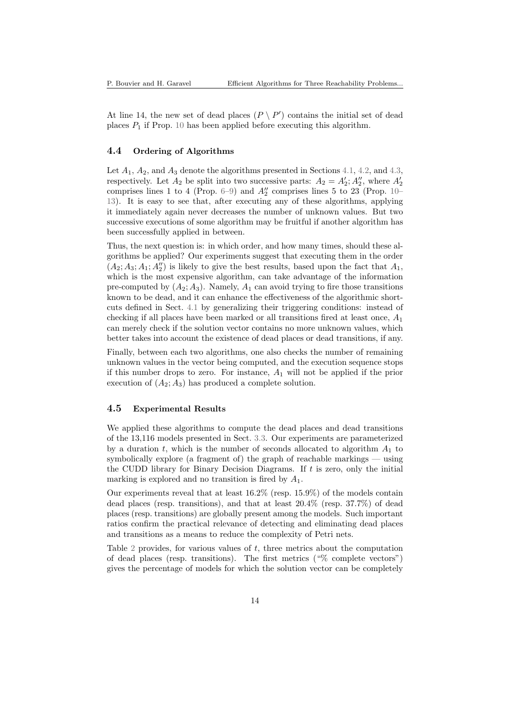At line 14, the new set of dead places  $(P \setminus P')$  contains the initial set of dead places  $P_1$  if Prop. 10 has been applied before executing this algorithm.

#### 4.4 Ordering of Algorithms

Let  $A_1$ ,  $A_2$ , and  $A_3$  denote the algorithms presented in Sections 4.1, 4.2, and 4.3, respectively. Let  $A_2$  be split into two successive parts:  $A_2 = A'_2$ ;  $A''_2$ , where  $A'_2$ comprises lines 1 to 4 (Prop.  $6-9$ ) and  $A_2''$  comprises lines 5 to 23 (Prop. 10– 13). It is easy to see that, after executing any of these algorithms, applying it immediately again never decreases the number of unknown values. But two successive executions of some algorithm may be fruitful if another algorithm has been successfully applied in between.

Thus, the next question is: in which order, and how many times, should these algorithms be applied? Our experiments suggest that executing them in the order  $(A_2; A_3; A_1; A_2'')$  is likely to give the best results, based upon the fact that  $A_1$ , which is the most expensive algorithm, can take advantage of the information pre-computed by  $(A_2; A_3)$ . Namely,  $A_1$  can avoid trying to fire those transitions known to be dead, and it can enhance the effectiveness of the algorithmic shortcuts defined in Sect. 4.1 by generalizing their triggering conditions: instead of checking if all places have been marked or all transitions fired at least once,  $A_1$ can merely check if the solution vector contains no more unknown values, which better takes into account the existence of dead places or dead transitions, if any.

Finally, between each two algorithms, one also checks the number of remaining unknown values in the vector being computed, and the execution sequence stops if this number drops to zero. For instance,  $A_1$  will not be applied if the prior execution of  $(A_2; A_3)$  has produced a complete solution.

#### 4.5 Experimental Results

We applied these algorithms to compute the dead places and dead transitions of the 13,116 models presented in Sect. 3.3. Our experiments are parameterized by a duration  $t$ , which is the number of seconds allocated to algorithm  $A_1$  to symbolically explore (a fragment of) the graph of reachable markings — using the CUDD library for Binary Decision Diagrams. If  $t$  is zero, only the initial marking is explored and no transition is fired by  $A_1$ .

Our experiments reveal that at least  $16.2\%$  (resp.  $15.9\%$ ) of the models contain dead places (resp. transitions), and that at least 20.4% (resp. 37.7%) of dead places (resp. transitions) are globally present among the models. Such important ratios confirm the practical relevance of detecting and eliminating dead places and transitions as a means to reduce the complexity of Petri nets.

Table 2 provides, for various values of t, three metrics about the computation of dead places (resp. transitions). The first metrics ("% complete vectors") gives the percentage of models for which the solution vector can be completely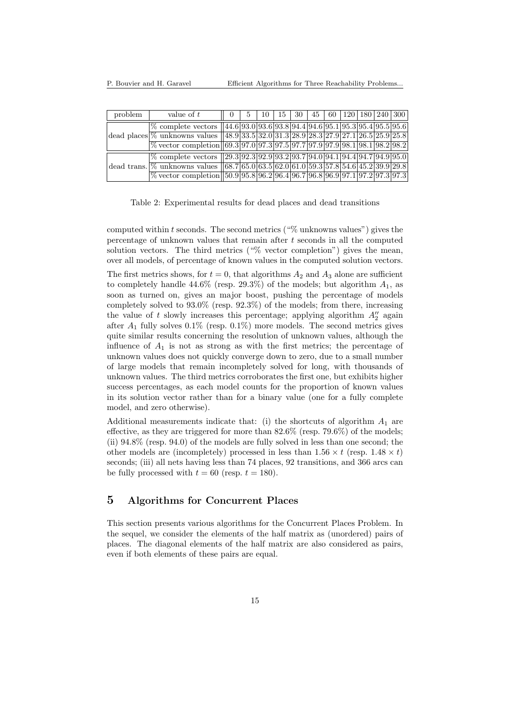| problem | value of $t$                                                                                                                                             | $\bigcap$ | 5. | $+10$ |  |  |  | $15 \mid 30 \mid 45 \mid 60 \mid 120 \mid 180 \mid 240 \mid 300 \mid$ |
|---------|----------------------------------------------------------------------------------------------------------------------------------------------------------|-----------|----|-------|--|--|--|-----------------------------------------------------------------------|
|         | $\%$ complete vectors $\ 44.6\ 93.0\ 93.6\ 93.8\ 94.4\ 94.6\ 95.1\ 95.3\ 95.4\ 95.5\ 95.6\ $                                                             |           |    |       |  |  |  |                                                                       |
|         | dead places $\%$ unknowns values $\frac{48.9}{33.5}$ $\frac{32.0}{31.3}$ $\frac{28.9}{28.3}$ $\frac{27.9}{27.1}$ $\frac{27.1}{26.5}$ $\frac{25.9}{25.8}$ |           |    |       |  |  |  |                                                                       |
|         | $\%$ vector completion 69.3 97.0 97.3 97.5 97.7 97.9 97.9 98.1 98.1 98.2 98.2                                                                            |           |    |       |  |  |  |                                                                       |
|         | $\%$ complete vectors $\ 29.3 92.3 92.9 93.2 93.7 94.0 94.1 94.4 94.7 94.9 95.0$                                                                         |           |    |       |  |  |  |                                                                       |
|         | dead trans. $\%$ unknowns values $(68.7 65.0 63.5 62.0 61.0 59.3 57.8 54.6 45.2 39.9 29.8)$                                                              |           |    |       |  |  |  |                                                                       |
|         | $\%$ vector completion $ 50.9 95.8 96.2 96.4 96.7 96.8 96.9 97.1 97.2 97.3 97.3 $                                                                        |           |    |       |  |  |  |                                                                       |

Table 2: Experimental results for dead places and dead transitions

computed within t seconds. The second metrics  $(^\omega\%$  unknowns values") gives the percentage of unknown values that remain after t seconds in all the computed solution vectors. The third metrics  $(\mathcal{C}_0 \otimes \mathcal{C}_1)$  extor completion") gives the mean, over all models, of percentage of known values in the computed solution vectors.

The first metrics shows, for  $t = 0$ , that algorithms  $A_2$  and  $A_3$  alone are sufficient to completely handle  $44.6\%$  (resp. 29.3%) of the models; but algorithm  $A_1$ , as soon as turned on, gives an major boost, pushing the percentage of models completely solved to 93.0% (resp. 92.3%) of the models; from there, increasing the value of t slowly increases this percentage; applying algorithm  $A_2''$  again after  $A_1$  fully solves  $0.1\%$  (resp.  $0.1\%$ ) more models. The second metrics gives quite similar results concerning the resolution of unknown values, although the influence of  $A_1$  is not as strong as with the first metrics; the percentage of unknown values does not quickly converge down to zero, due to a small number of large models that remain incompletely solved for long, with thousands of unknown values. The third metrics corroborates the first one, but exhibits higher success percentages, as each model counts for the proportion of known values in its solution vector rather than for a binary value (one for a fully complete model, and zero otherwise).

Additional measurements indicate that: (i) the shortcuts of algorithm  $A_1$  are effective, as they are triggered for more than  $82.6\%$  (resp. 79.6%) of the models; (ii) 94.8% (resp. 94.0) of the models are fully solved in less than one second; the other models are (incompletely) processed in less than  $1.56 \times t$  (resp.  $1.48 \times t$ ) seconds; (iii) all nets having less than 74 places, 92 transitions, and 366 arcs can be fully processed with  $t = 60$  (resp.  $t = 180$ ).

## 5 Algorithms for Concurrent Places

This section presents various algorithms for the Concurrent Places Problem. In the sequel, we consider the elements of the half matrix as (unordered) pairs of places. The diagonal elements of the half matrix are also considered as pairs, even if both elements of these pairs are equal.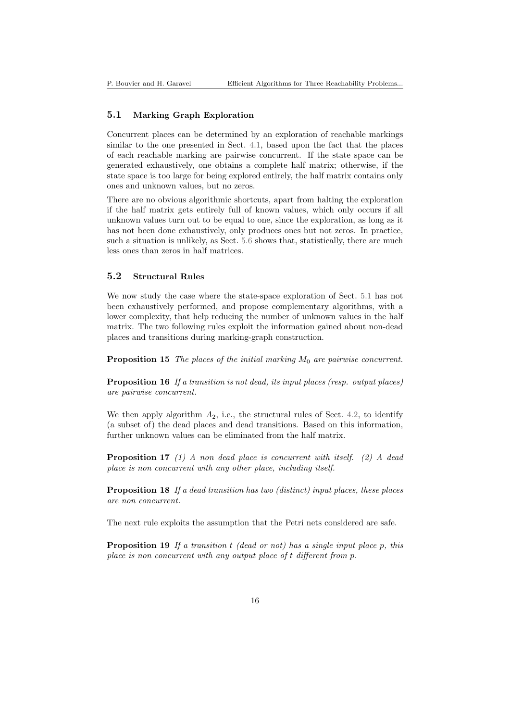#### 5.1 Marking Graph Exploration

Concurrent places can be determined by an exploration of reachable markings similar to the one presented in Sect. 4.1, based upon the fact that the places of each reachable marking are pairwise concurrent. If the state space can be generated exhaustively, one obtains a complete half matrix; otherwise, if the state space is too large for being explored entirely, the half matrix contains only ones and unknown values, but no zeros.

There are no obvious algorithmic shortcuts, apart from halting the exploration if the half matrix gets entirely full of known values, which only occurs if all unknown values turn out to be equal to one, since the exploration, as long as it has not been done exhaustively, only produces ones but not zeros. In practice, such a situation is unlikely, as Sect. 5.6 shows that, statistically, there are much less ones than zeros in half matrices.

## 5.2 Structural Rules

We now study the case where the state-space exploration of Sect. 5.1 has not been exhaustively performed, and propose complementary algorithms, with a lower complexity, that help reducing the number of unknown values in the half matrix. The two following rules exploit the information gained about non-dead places and transitions during marking-graph construction.

**Proposition 15** The places of the initial marking  $M_0$  are pairwise concurrent.

Proposition 16 If a transition is not dead, its input places (resp. output places) are pairwise concurrent.

We then apply algorithm  $A_2$ , i.e., the structural rules of Sect. 4.2, to identify (a subset of) the dead places and dead transitions. Based on this information, further unknown values can be eliminated from the half matrix.

**Proposition 17** (1) A non dead place is concurrent with itself. (2) A dead place is non concurrent with any other place, including itself.

Proposition 18 If a dead transition has two (distinct) input places, these places are non concurrent.

The next rule exploits the assumption that the Petri nets considered are safe.

**Proposition 19** If a transition t (dead or not) has a single input place p, this place is non concurrent with any output place of t different from p.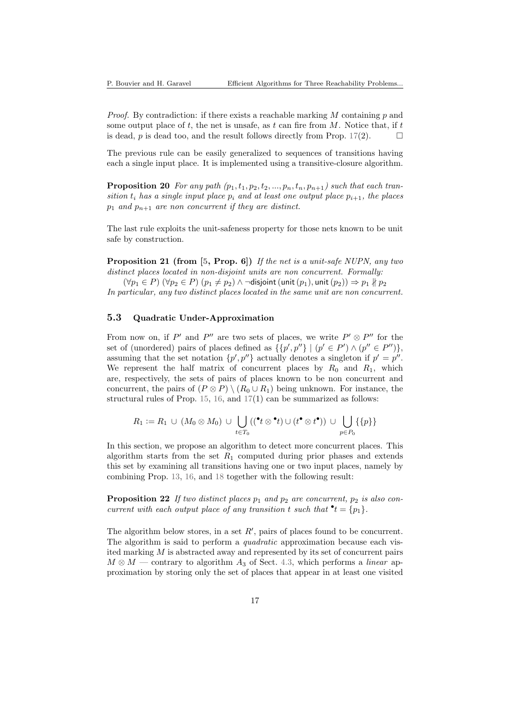*Proof.* By contradiction: if there exists a reachable marking  $M$  containing  $p$  and some output place of  $t$ , the net is unsafe, as  $t$  can fire from  $M$ . Notice that, if  $t$ is dead, p is dead too, and the result follows directly from Prop. 17(2).  $\Box$ 

The previous rule can be easily generalized to sequences of transitions having each a single input place. It is implemented using a transitive-closure algorithm.

**Proposition 20** For any path  $(p_1, t_1, p_2, t_2, ..., p_n, t_n, p_{n+1})$  such that each transition  $t_i$  has a single input place  $p_i$  and at least one output place  $p_{i+1}$ , the places  $p_1$  and  $p_{n+1}$  are non concurrent if they are distinct.

The last rule exploits the unit-safeness property for those nets known to be unit safe by construction.

**Proposition 21 (from [5, Prop. 6])** If the net is a unit-safe NUPN, any two distinct places located in non-disjoint units are non concurrent. Formally:

 $(\forall p_1 \in P)$   $(\forall p_2 \in P)$   $(p_1 \neq p_2)$   $\land \neg$ disjoint (unit  $(p_1)$ , unit  $(p_2)$ )  $\Rightarrow$   $p_1 \nparallel p_2$ 

In particular, any two distinct places located in the same unit are non concurrent.

## 5.3 Quadratic Under-Approximation

From now on, if P' and P'' are two sets of places, we write  $P' \otimes P''$  for the set of (unordered) pairs of places defined as  $\{p', p''\} | (p' \in P') \wedge (p'' \in P'')\},\$ assuming that the set notation  $\{p', p''\}$  actually denotes a singleton if  $p' = p''$ . We represent the half matrix of concurrent places by  $R_0$  and  $R_1$ , which are, respectively, the sets of pairs of places known to be non concurrent and concurrent, the pairs of  $(P \otimes P) \setminus (R_0 \cup R_1)$  being unknown. For instance, the structural rules of Prop.  $15, 16,$  and  $17(1)$  can be summarized as follows:

$$
R_1 := R_1 \,\cup\, (M_0\otimes M_0) \,\cup\, \bigcup_{t\in T_0} ((^\bullet t \otimes^\bullet t) \cup (t^\bullet \otimes t^\bullet)) \,\cup\, \bigcup_{p\in P_0} \{\{p\}\}\
$$

In this section, we propose an algorithm to detect more concurrent places. This algorithm starts from the set  $R_1$  computed during prior phases and extends this set by examining all transitions having one or two input places, namely by combining Prop. 13, 16, and 18 together with the following result:

**Proposition 22** If two distinct places  $p_1$  and  $p_2$  are concurrent,  $p_2$  is also concurrent with each output place of any transition t such that  $\mathbf{t} = \{p_1\}.$ 

The algorithm below stores, in a set  $R'$ , pairs of places found to be concurrent. The algorithm is said to perform a *quadratic* approximation because each visited marking M is abstracted away and represented by its set of concurrent pairs  $M \otimes M$  — contrary to algorithm  $A_3$  of Sect. 4.3, which performs a linear approximation by storing only the set of places that appear in at least one visited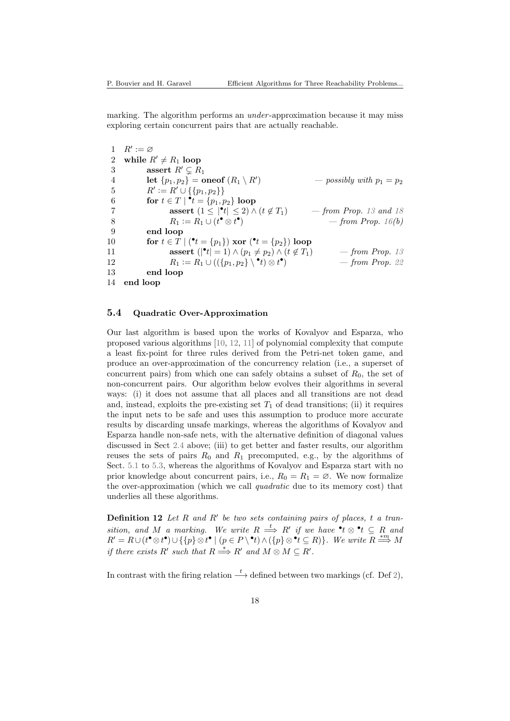marking. The algorithm performs an *under*-approximation because it may miss exploring certain concurrent pairs that are actually reachable.

1  $R' := \varnothing$ 2 while  $R' \neq R_1$  loop 3 assert  $R' \subseteq R_1$ 4 let  $\{p_1, p_2\}$  = oneof  $(R_1 \setminus R')$  $-$  possibly with  $p_1 = p_2$ 5  $R' := R' \cup \{\{p_1, p_2\}\}\$ 6 for  $t \in T \mid \bullet_t = \{p_1, p_2\}$  loop 7 **assert**  $(1 \leq |\cdot t| \leq 2) \wedge (t \notin T_1)$  - from Prop. 13 and 18 8  $R_1 := R_1 \cup (t^{\bullet} \otimes t^{\bullet})$ — from Prop.  $16(b)$ 9 end loop 10 for  $t \in T \mid (\mathbf{e}_t = \{p_1\})$  xor  $(\mathbf{e}_t = \{p_2\})$  loop 11 **assert**  $(|^{\bullet}t| = 1) \wedge (p_1 \neq p_2) \wedge (t \notin T_1)$  - from Prop. 15 12  $R_1 := R_1 \cup ((\{p_1, p_2\} \setminus \bullet_t) \otimes t^{\bullet})$  $-$  from Prop. 13<br> $-$  from Prop. 22 13 end loop 14 end loop

## 5.4 Quadratic Over-Approximation

Our last algorithm is based upon the works of Kovalyov and Esparza, who proposed various algorithms [10, 12, 11] of polynomial complexity that compute a least fix-point for three rules derived from the Petri-net token game, and produce an over-approximation of the concurrency relation (i.e., a superset of concurrent pairs) from which one can safely obtains a subset of  $R_0$ , the set of non-concurrent pairs. Our algorithm below evolves their algorithms in several ways: (i) it does not assume that all places and all transitions are not dead and, instead, exploits the pre-existing set  $T_1$  of dead transitions; (ii) it requires the input nets to be safe and uses this assumption to produce more accurate results by discarding unsafe markings, whereas the algorithms of Kovalyov and Esparza handle non-safe nets, with the alternative definition of diagonal values discussed in Sect 2.4 above; (iii) to get better and faster results, our algorithm reuses the sets of pairs  $R_0$  and  $R_1$  precomputed, e.g., by the algorithms of Sect. 5.1 to 5.3, whereas the algorithms of Kovalyov and Esparza start with no prior knowledge about concurrent pairs, i.e.,  $R_0 = R_1 = \emptyset$ . We now formalize the over-approximation (which we call *quadratic* due to its memory cost) that underlies all these algorithms.

**Definition 12** Let R and R' be two sets containing pairs of places, t a transition, and M a marking. We write  $R \stackrel{t}{\implies} R'$  if we have  $\mathbf{P}t \otimes \mathbf{P}t \subseteq R$  and  $R' = R \cup (t^{\bullet} \otimes t^{\bullet}) \cup \{\{p\} \otimes t^{\bullet} \mid (p \in P \setminus {}^{\bullet}t) \wedge (\{p\} \otimes {}^{\bullet}t \subseteq R)\}.$  We write  $R \stackrel{mm}{\Longrightarrow} M$ if there exists R' such that  $R \stackrel{*}{\Longrightarrow} R'$  and  $M \otimes M \subseteq R'$ .

In contrast with the firing relation  $\stackrel{t}{\longrightarrow}$  defined between two markings (cf. Def 2),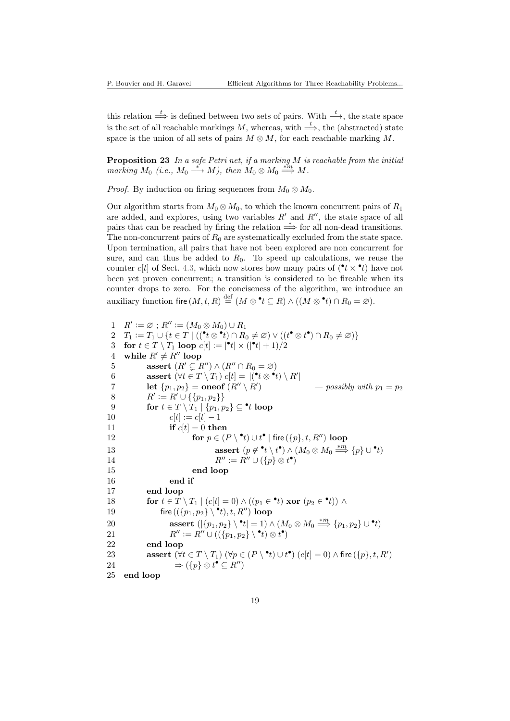this relation  $\stackrel{t}{\Longrightarrow}$  is defined between two sets of pairs. With  $\stackrel{t}{\longrightarrow}$ , the state space is the set of all reachable markings M, whereas, with  $\stackrel{t}{\Longrightarrow}$ , the (abstracted) state space is the union of all sets of pairs  $M \otimes M$ , for each reachable marking M.

**Proposition 23** In a safe Petri net, if a marking  $M$  is reachable from the initial marking  $M_0$  (i.e.,  $M_0 \stackrel{*}{\longrightarrow} M$ ), then  $M_0 \otimes M_0 \stackrel{*}{\Longrightarrow} M$ .

*Proof.* By induction on firing sequences from  $M_0 \otimes M_0$ .

Our algorithm starts from  $M_0 \otimes M_0$ , to which the known concurrent pairs of  $R_1$ are added, and explores, using two variables  $R'$  and  $R''$ , the state space of all pairs that can be reached by firing the relation  $\Rightarrow$  for all non-dead transitions. The non-concurrent pairs of  $R_0$  are systematically excluded from the state space. Upon termination, all pairs that have not been explored are non concurrent for sure, and can thus be added to  $R_0$ . To speed up calculations, we reuse the counter c[t] of Sect. 4.3, which now stores how many pairs of  $({^{\bullet}t} \times {^{\bullet}t})$  have not been yet proven concurrent; a transition is considered to be fireable when its counter drops to zero. For the conciseness of the algorithm, we introduce an auxiliary function fire  $(M,t,R)\stackrel{\mathrm{def}}{=} (M\otimes{}^\bullet t\subseteq R)\wedge ((M\otimes{}^\bullet t)\cap R_0=\varnothing).$ 

1  $R' := \emptyset$ ;  $R'' := (M_0 \otimes M_0) \cup R_1$  $2$   $T_1 := T_1 \cup \{t \in T \mid ((^{\bullet} t \otimes {}^{\bullet} t) \cap R_0 \neq \varnothing) \vee ((t^{\bullet} \otimes t^{\bullet}) \cap R_0 \neq \varnothing)\}\$ 3 for  $t \in T \setminus T_1$  loop  $c[t] := |\mathbf{e}_t| \times (|\mathbf{e}_t| + 1)/2$ 4 while  $R' \neq R''$  loop 5 assert  $(R' \subsetneq R'') \wedge (R'' \cap R_0 = \varnothing)$ 6 assert  $(\forall t \in T \setminus T_1) c[t] = |({^{\bullet}t \otimes {^{\bullet}t}}) \setminus R'|$ 7 let  $\{p_1, p_2\}$  = oneof  $(R'' \setminus R')$  $-$  possibly with  $p_1 = p_2$ 8  $R' := R' \cup \{\{p_1, p_2\}\}\$ 9 for  $t \in T \setminus T_1 \mid \{p_1, p_2\} \subseteq \mathbf{^{\bullet}} t$  loop 10  $c[t] := c[t] - 1$ 11 if  $c[t] = 0$  then 12 for  $p \in (P \setminus \bullet_t) \cup t^{\bullet} |$  fire  $(\{p\}, t, R'')$  loop 13 **assert**  $(p \notin \mathbf{^*} \setminus t^{\bullet}) \wedge (M_0 \otimes M_0 \stackrel{*m}{\Longrightarrow} \{p\} \cup \mathbf{^*}t)$ 14  $R'' := R'' \cup (\{p\} \otimes t^{\bullet})$ 15 end loop 16 end if 17 end loop 18 **for**  $t \in T \setminus T_1 \mid (c[t] = 0) \wedge ((p_1 \in \cdot t) \text{ xor } (p_2 \in \cdot t))$ 19 fire  $((\lbrace p_1, p_2 \rbrace \setminus \bullet_t), t, R'')$  loop 20 **assert**  $(|\{p_1, p_2\} \setminus \bullet_t| = 1) \wedge (M_0 \otimes M_0 \stackrel{*m}{\Longrightarrow} \{p_1, p_2\} \cup \bullet_t)$ 21  $R'' := R'' \cup ((\{p_1, p_2\} \setminus \bullet t) \otimes t^{\bullet})$ 22 end loop 23 assert  $(\forall t \in T \setminus T_1)$   $(\forall p \in (P \setminus \bullet t) \cup t^{\bullet})$   $(c[t] = 0) \wedge$  fire  $(\{p\}, t, R')$ 24  $\Rightarrow (\{p\} \otimes t^{\bullet} \subseteq R'')$ 25 end loop

19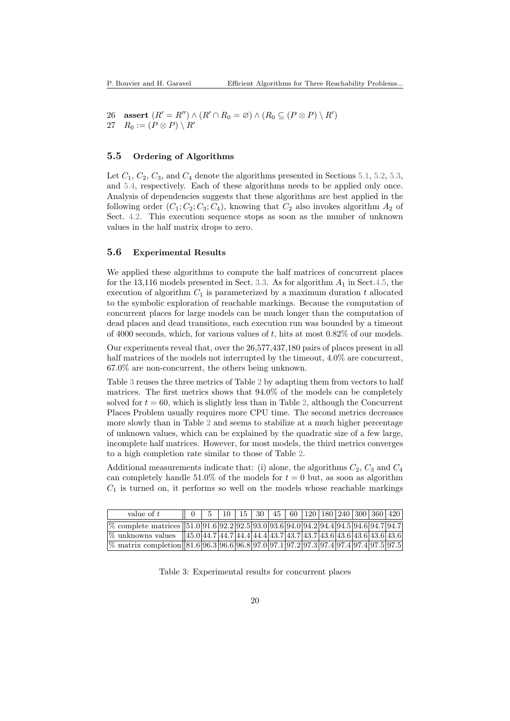26 assert  $(R' = R'') \wedge (R' \cap R_0 = \varnothing) \wedge (R_0 \subseteq (P \otimes P) \setminus R')$ 27  $R_0 := (P \otimes P) \setminus R'$ 

## 5.5 Ordering of Algorithms

Let  $C_1, C_2, C_3$ , and  $C_4$  denote the algorithms presented in Sections 5.1, 5.2, 5.3, and 5.4, respectively. Each of these algorithms needs to be applied only once. Analysis of dependencies suggests that these algorithms are best applied in the following order  $(C_1; C_2; C_3; C_4)$ , knowing that  $C_2$  also invokes algorithm  $A_2$  of Sect. 4.2. This execution sequence stops as soon as the number of unknown values in the half matrix drops to zero.

#### 5.6 Experimental Results

We applied these algorithms to compute the half matrices of concurrent places for the 13,116 models presented in Sect. 3.3. As for algorithm  $A_1$  in Sect. 4.5, the execution of algorithm  $C_1$  is parameterized by a maximum duration t allocated to the symbolic exploration of reachable markings. Because the computation of concurrent places for large models can be much longer than the computation of dead places and dead transitions, each execution run was bounded by a timeout of 4000 seconds, which, for various values of t, hits at most  $0.82\%$  of our models.

Our experiments reveal that, over the 26,577,437,180 pairs of places present in all half matrices of the models not interrupted by the timeout,  $4.0\%$  are concurrent, 67.0% are non-concurrent, the others being unknown.

Table 3 reuses the three metrics of Table 2 by adapting them from vectors to half matrices. The first metrics shows that 94.0% of the models can be completely solved for  $t = 60$ , which is slightly less than in Table 2, although the Concurrent Places Problem usually requires more CPU time. The second metrics decreases more slowly than in Table 2 and seems to stabilize at a much higher percentage of unknown values, which can be explained by the quadratic size of a few large, incomplete half matrices. However, for most models, the third metrics converges to a high completion rate similar to those of Table 2.

Additional measurements indicate that: (i) alone, the algorithms  $C_2$ ,  $C_3$  and  $C_4$ can completely handle 51.0% of the models for  $t = 0$  but, as soon as algorithm  $C_1$  is turned on, it performs so well on the models whose reachable markings

| value of $t$                                                                                       |  |  |  |  |  | 0   5   10   15   30   45   60   120   180   240   300   360   420 |  |
|----------------------------------------------------------------------------------------------------|--|--|--|--|--|--------------------------------------------------------------------|--|
| $\%$ complete matrices $\frac{151.0}{91.6}$ 92.2 92.5 93.0 93.6 94.0 94.2 94.4 94.5 94.6 94.7 94.7 |  |  |  |  |  |                                                                    |  |
| $\%$ unknowns values $(45.044.744.744.444.443.743.743.743.643.643.643.643.6)$                      |  |  |  |  |  |                                                                    |  |
| $\%$ matrix completion 81.6 96.3 96.6 96.8 97.0 97.1 97.2 97.3 97.4 97.4 97.4 97.5 97.5            |  |  |  |  |  |                                                                    |  |

Table 3: Experimental results for concurrent places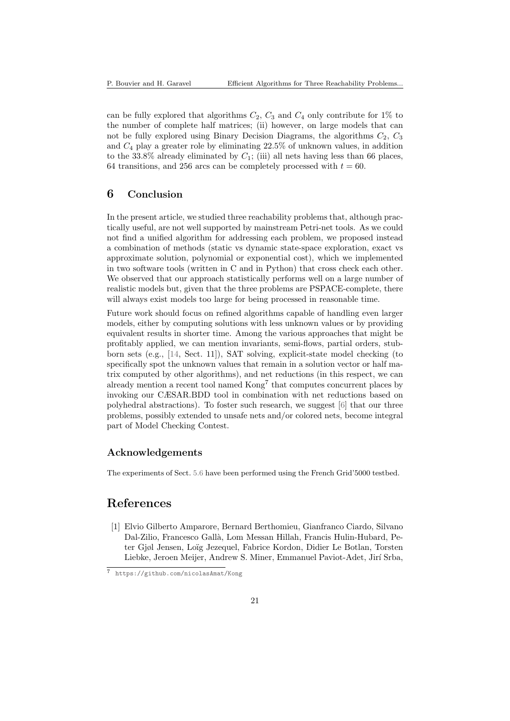can be fully explored that algorithms  $C_2$ ,  $C_3$  and  $C_4$  only contribute for 1% to the number of complete half matrices; (ii) however, on large models that can not be fully explored using Binary Decision Diagrams, the algorithms  $C_2, C_3$ and  $C_4$  play a greater role by eliminating 22.5% of unknown values, in addition to the 33.8% already eliminated by  $C_1$ ; (iii) all nets having less than 66 places, 64 transitions, and 256 arcs can be completely processed with  $t = 60$ .

## 6 Conclusion

In the present article, we studied three reachability problems that, although practically useful, are not well supported by mainstream Petri-net tools. As we could not find a unified algorithm for addressing each problem, we proposed instead a combination of methods (static vs dynamic state-space exploration, exact vs approximate solution, polynomial or exponential cost), which we implemented in two software tools (written in C and in Python) that cross check each other. We observed that our approach statistically performs well on a large number of realistic models but, given that the three problems are PSPACE-complete, there will always exist models too large for being processed in reasonable time.

Future work should focus on refined algorithms capable of handling even larger models, either by computing solutions with less unknown values or by providing equivalent results in shorter time. Among the various approaches that might be profitably applied, we can mention invariants, semi-flows, partial orders, stubborn sets (e.g., [14, Sect. 11]), SAT solving, explicit-state model checking (to specifically spot the unknown values that remain in a solution vector or half matrix computed by other algorithms), and net reductions (in this respect, we can already mention a recent tool named  $\text{Kong}^7$  that computes concurrent places by invoking our CÆSAR.BDD tool in combination with net reductions based on polyhedral abstractions). To foster such research, we suggest [6] that our three problems, possibly extended to unsafe nets and/or colored nets, become integral part of Model Checking Contest.

## Acknowledgements

The experiments of Sect. 5.6 have been performed using the French Grid'5000 testbed.

## References

[1] Elvio Gilberto Amparore, Bernard Berthomieu, Gianfranco Ciardo, Silvano Dal-Zilio, Francesco Gall`a, Lom Messan Hillah, Francis Hulin-Hubard, Peter Gjøl Jensen, Loïg Jezequel, Fabrice Kordon, Didier Le Botlan, Torsten Liebke, Jeroen Meijer, Andrew S. Miner, Emmanuel Paviot-Adet, Jirí Srba,

<sup>7</sup> <https://github.com/nicolasAmat/Kong>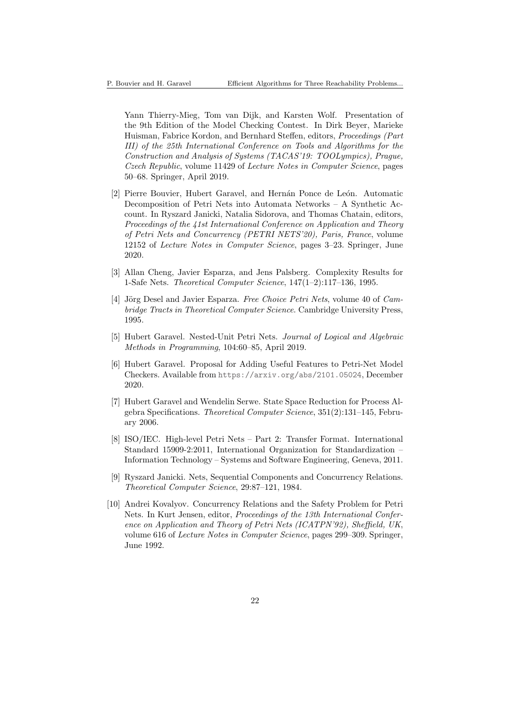Yann Thierry-Mieg, Tom van Dijk, and Karsten Wolf. Presentation of the 9th Edition of the Model Checking Contest. In Dirk Beyer, Marieke Huisman, Fabrice Kordon, and Bernhard Steffen, editors, Proceedings (Part III) of the 25th International Conference on Tools and Algorithms for the Construction and Analysis of Systems (TACAS'19: TOOLympics), Prague, Czech Republic, volume 11429 of Lecture Notes in Computer Science, pages 50–68. Springer, April 2019.

- [2] Pierre Bouvier, Hubert Garavel, and Hernán Ponce de León. Automatic Decomposition of Petri Nets into Automata Networks – A Synthetic Account. In Ryszard Janicki, Natalia Sidorova, and Thomas Chatain, editors, Proceedings of the 41st International Conference on Application and Theory of Petri Nets and Concurrency (PETRI NETS'20), Paris, France, volume 12152 of Lecture Notes in Computer Science, pages 3–23. Springer, June 2020.
- [3] Allan Cheng, Javier Esparza, and Jens Palsberg. Complexity Results for 1-Safe Nets. Theoretical Computer Science, 147(1–2):117–136, 1995.
- [4] Jörg Desel and Javier Esparza. Free Choice Petri Nets, volume 40 of Cambridge Tracts in Theoretical Computer Science. Cambridge University Press, 1995.
- [5] Hubert Garavel. Nested-Unit Petri Nets. Journal of Logical and Algebraic Methods in Programming, 104:60–85, April 2019.
- [6] Hubert Garavel. Proposal for Adding Useful Features to Petri-Net Model Checkers. Available from <https://arxiv.org/abs/2101.05024>, December 2020.
- [7] Hubert Garavel and Wendelin Serwe. State Space Reduction for Process Algebra Specifications. Theoretical Computer Science, 351(2):131–145, February 2006.
- [8] ISO/IEC. High-level Petri Nets Part 2: Transfer Format. International Standard 15909-2:2011, International Organization for Standardization – Information Technology – Systems and Software Engineering, Geneva, 2011.
- [9] Ryszard Janicki. Nets, Sequential Components and Concurrency Relations. Theoretical Computer Science, 29:87–121, 1984.
- [10] Andrei Kovalyov. Concurrency Relations and the Safety Problem for Petri Nets. In Kurt Jensen, editor, Proceedings of the 13th International Conference on Application and Theory of Petri Nets (ICATPN'92), Sheffield, UK, volume 616 of Lecture Notes in Computer Science, pages 299–309. Springer, June 1992.